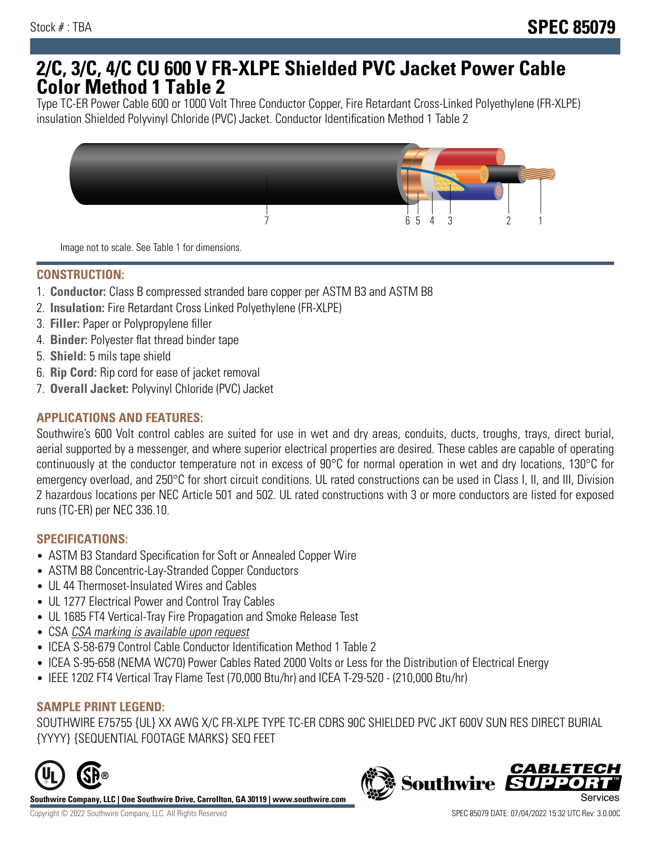# **2/C, 3/C, 4/C CU 600 V FR-XLPE Shielded PVC Jacket Power Cable Color Method 1 Table 2**

Type TC-ER Power Cable 600 or 1000 Volt Three Conductor Copper, Fire Retardant Cross-Linked Polyethylene (FR-XLPE) insulation Shielded Polyvinyl Chloride (PVC) Jacket. Conductor Identification Method 1 Table 2



Image not to scale. See Table 1 for dimensions.

## **CONSTRUCTION:**

- 1. **Conductor:** Class B compressed stranded bare copper per ASTM B3 and ASTM B8
- 2. **Insulation:** Fire Retardant Cross Linked Polyethylene (FR-XLPE)
- 3. **Filler:** Paper or Polypropylene filler
- 4. **Binder:** Polyester flat thread binder tape
- 5. **Shield:** 5 mils tape shield
- 6. **Rip Cord:** Rip cord for ease of jacket removal
- 7. **Overall Jacket:** Polyvinyl Chloride (PVC) Jacket

### **APPLICATIONS AND FEATURES:**

Southwire's 600 Volt control cables are suited for use in wet and dry areas, conduits, ducts, troughs, trays, direct burial, aerial supported by a messenger, and where superior electrical properties are desired. These cables are capable of operating continuously at the conductor temperature not in excess of 90°C for normal operation in wet and dry locations, 130°C for emergency overload, and 250°C for short circuit conditions. UL rated constructions can be used in Class I, II, and III, Division 2 hazardous locations per NEC Article 501 and 502. UL rated constructions with 3 or more conductors are listed for exposed runs (TC-ER) per NEC 336.10.

#### **SPECIFICATIONS:**

- ASTM B3 Standard Specification for Soft or Annealed Copper Wire
- ASTM B8 Concentric-Lay-Stranded Copper Conductors
- UL 44 Thermoset-Insulated Wires and Cables
- UL 1277 Electrical Power and Control Tray Cables
- UL 1685 FT4 Vertical-Tray Fire Propagation and Smoke Release Test
- CSA CSA marking is available upon request
- ICEA S-58-679 Control Cable Conductor Identification Method 1 Table 2
- ICEA S-95-658 (NEMA WC70) Power Cables Rated 2000 Volts or Less for the Distribution of Electrical Energy
- IEEE 1202 FT4 Vertical Tray Flame Test (70,000 Btu/hr) and ICEA T-29-520 (210,000 Btu/hr)

#### **SAMPLE PRINT LEGEND:**

SOUTHWIRE E75755 {UL} XX AWG X/C FR-XLPE TYPE TC-ER CDRS 90C SHIELDED PVC JKT 600V SUN RES DIRECT BURIAL {YYYY} {SEQUENTIAL FOOTAGE MARKS} SEQ FEET



**Southwire Company, LLC | One Southwire Drive, Carrollton, GA 30119 | www.southwire.com**